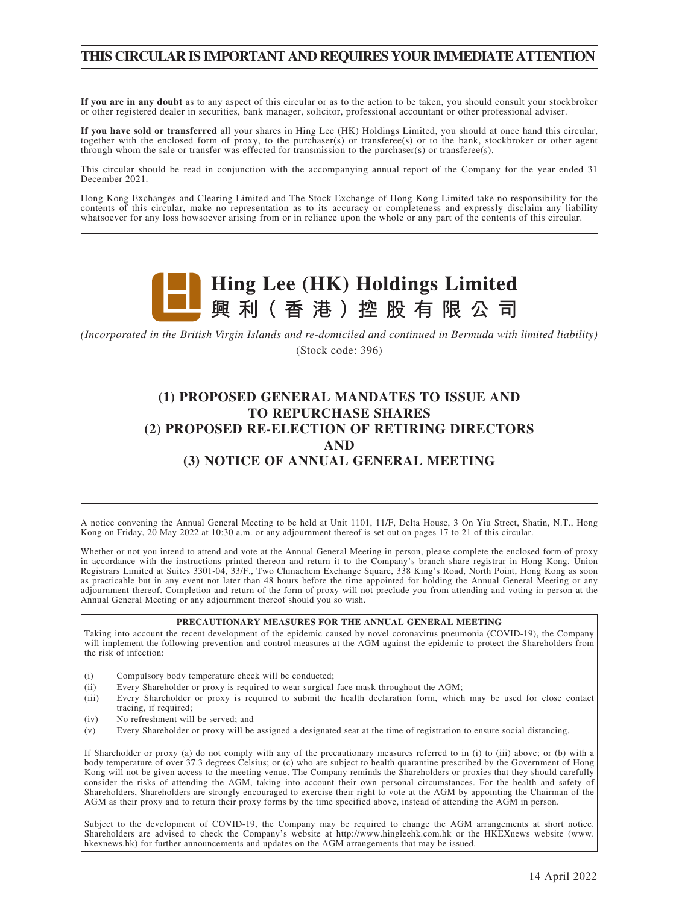# **THIS CIRCULAR IS IMPORTANT AND REQUIRES YOUR IMMEDIATE ATTENTION**

**If you are in any doubt** as to any aspect of this circular or as to the action to be taken, you should consult your stockbroker or other registered dealer in securities, bank manager, solicitor, professional accountant or other professional adviser.

**If you have sold or transferred** all your shares in Hing Lee (HK) Holdings Limited, you should at once hand this circular, together with the enclosed form of proxy, to the purchaser(s) or transferee(s) or to the bank, stockbroker or other agent through whom the sale or transfer was effected for transmission to the purchaser(s) or transferee(s).

This circular should be read in conjunction with the accompanying annual report of the Company for the year ended 31 December 2021.

Hong Kong Exchanges and Clearing Limited and The Stock Exchange of Hong Kong Limited take no responsibility for the contents of this circular, make no representation as to its accuracy or completeness and expressly disclaim any liability whatsoever for any loss howsoever arising from or in reliance upon the whole or any part of the contents of this circular.



*(Incorporated in the British Virgin Islands and re-domiciled and continued in Bermuda with limited liability)* (Stock code: 396)

# **(1) PROPOSED GENERAL MANDATES TO ISSUE AND TO REPURCHASE SHARES (2) PROPOSED RE-ELECTION OF RETIRING DIRECTORS AND (3) NOTICE OF ANNUAL GENERAL MEETING**

A notice convening the Annual General Meeting to be held at Unit 1101, 11/F, Delta House, 3 On Yiu Street, Shatin, N.T., Hong Kong on Friday, 20 May 2022 at 10:30 a.m. or any adjournment thereof is set out on pages 17 to 21 of this circular.

Whether or not you intend to attend and vote at the Annual General Meeting in person, please complete the enclosed form of proxy in accordance with the instructions printed thereon and return it to the Company's branch share registrar in Hong Kong, Union Registrars Limited at Suites 3301-04, 33/F., Two Chinachem Exchange Square, 338 King's Road, North Point, Hong Kong as soon as practicable but in any event not later than 48 hours before the time appointed for holding the Annual General Meeting or any adjournment thereof. Completion and return of the form of proxy will not preclude you from attending and voting in person at the Annual General Meeting or any adjournment thereof should you so wish.

#### **PRECAUTIONARY MEASURES FOR THE ANNUAL GENERAL MEETING**

Taking into account the recent development of the epidemic caused by novel coronavirus pneumonia (COVID-19), the Company will implement the following prevention and control measures at the AGM against the epidemic to protect the Shareholders from the risk of infection:

- (i) Compulsory body temperature check will be conducted;
- (ii) Every Shareholder or proxy is required to wear surgical face mask throughout the AGM;
- (iii) Every Shareholder or proxy is required to submit the health declaration form, which may be used for close contact tracing, if required;
- (iv) No refreshment will be served; and
- (v) Every Shareholder or proxy will be assigned a designated seat at the time of registration to ensure social distancing.

If Shareholder or proxy (a) do not comply with any of the precautionary measures referred to in (i) to (iii) above; or (b) with a body temperature of over 37.3 degrees Celsius; or (c) who are subject to health quarantine prescribed by the Government of Hong Kong will not be given access to the meeting venue. The Company reminds the Shareholders or proxies that they should carefully consider the risks of attending the AGM, taking into account their own personal circumstances. For the health and safety of Shareholders, Shareholders are strongly encouraged to exercise their right to vote at the AGM by appointing the Chairman of the AGM as their proxy and to return their proxy forms by the time specified above, instead of attending the AGM in person.

Subject to the development of COVID-19, the Company may be required to change the AGM arrangements at short notice. Shareholders are advised to check the Company's website at http://www.hingleehk.com.hk or the HKEXnews website (www. hkexnews.hk) for further announcements and updates on the AGM arrangements that may be issued.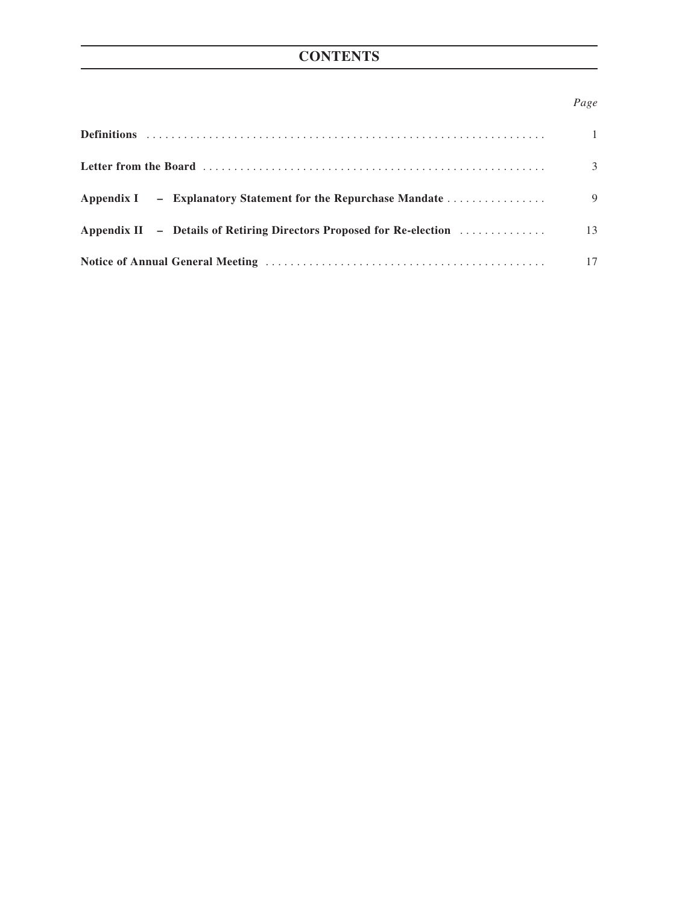# **CONTENTS**

# *Page*

|                                                                                             | $\overline{1}$ |
|---------------------------------------------------------------------------------------------|----------------|
|                                                                                             | 3              |
| Appendix I – Explanatory Statement for the Repurchase Mandate                               | 9              |
| Appendix II - Details of Retiring Directors Proposed for Re-election $\dots\dots\dots\dots$ | 13             |
|                                                                                             | 17             |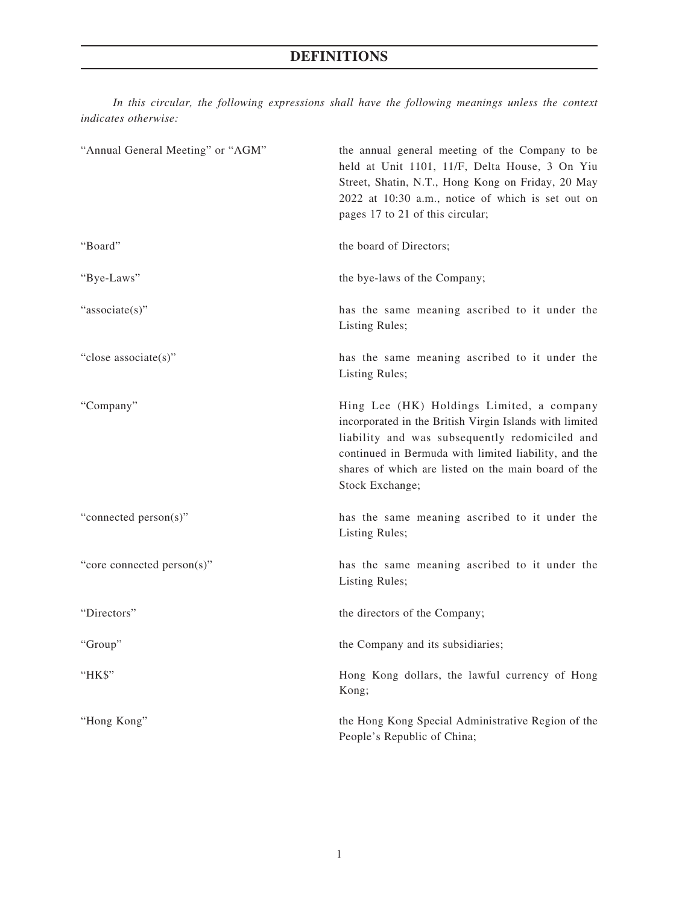*In this circular, the following expressions shall have the following meanings unless the context indicates otherwise:*

| "Annual General Meeting" or "AGM" | the annual general meeting of the Company to be<br>held at Unit 1101, 11/F, Delta House, 3 On Yiu<br>Street, Shatin, N.T., Hong Kong on Friday, 20 May<br>2022 at 10:30 a.m., notice of which is set out on<br>pages 17 to 21 of this circular;                                          |
|-----------------------------------|------------------------------------------------------------------------------------------------------------------------------------------------------------------------------------------------------------------------------------------------------------------------------------------|
| "Board"                           | the board of Directors;                                                                                                                                                                                                                                                                  |
| "Bye-Laws"                        | the bye-laws of the Company;                                                                                                                                                                                                                                                             |
| "associate(s)"                    | has the same meaning ascribed to it under the<br>Listing Rules;                                                                                                                                                                                                                          |
| "close associate(s)"              | has the same meaning ascribed to it under the<br>Listing Rules;                                                                                                                                                                                                                          |
| "Company"                         | Hing Lee (HK) Holdings Limited, a company<br>incorporated in the British Virgin Islands with limited<br>liability and was subsequently redomiciled and<br>continued in Bermuda with limited liability, and the<br>shares of which are listed on the main board of the<br>Stock Exchange; |
| "connected person(s)"             | has the same meaning ascribed to it under the<br>Listing Rules;                                                                                                                                                                                                                          |
| "core connected person(s)"        | has the same meaning ascribed to it under the<br>Listing Rules;                                                                                                                                                                                                                          |
| "Directors"                       | the directors of the Company;                                                                                                                                                                                                                                                            |
| "Group"                           | the Company and its subsidiaries;                                                                                                                                                                                                                                                        |
| "HK\$"                            | Hong Kong dollars, the lawful currency of Hong<br>Kong;                                                                                                                                                                                                                                  |
| "Hong Kong"                       | the Hong Kong Special Administrative Region of the<br>People's Republic of China;                                                                                                                                                                                                        |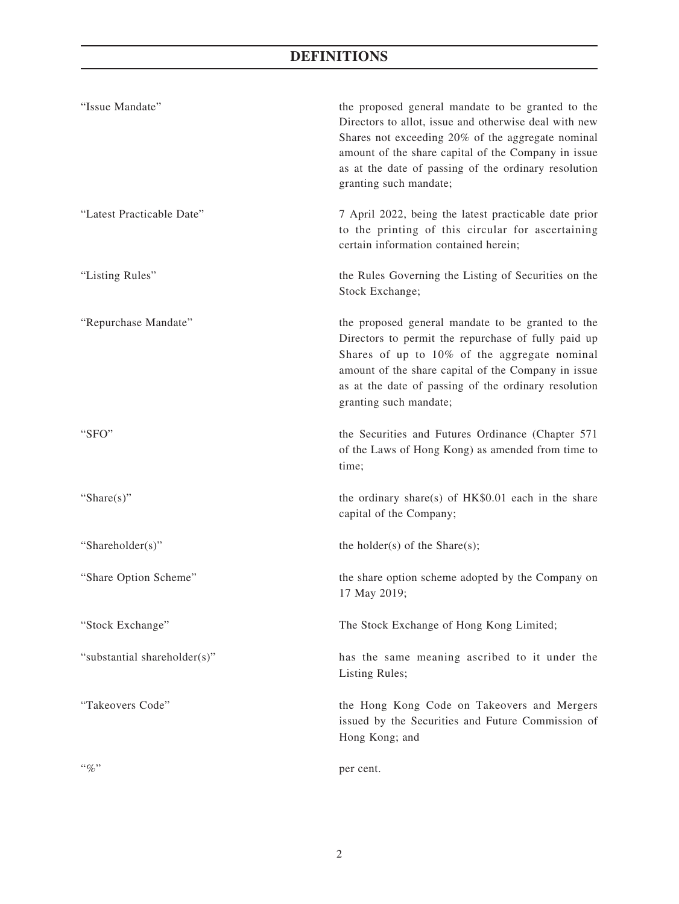# **DEFINITIONS**

| "Issue Mandate"              | the proposed general mandate to be granted to the<br>Directors to allot, issue and otherwise deal with new<br>Shares not exceeding 20% of the aggregate nominal<br>amount of the share capital of the Company in issue<br>as at the date of passing of the ordinary resolution<br>granting such mandate; |
|------------------------------|----------------------------------------------------------------------------------------------------------------------------------------------------------------------------------------------------------------------------------------------------------------------------------------------------------|
| "Latest Practicable Date"    | 7 April 2022, being the latest practicable date prior<br>to the printing of this circular for ascertaining<br>certain information contained herein;                                                                                                                                                      |
| "Listing Rules"              | the Rules Governing the Listing of Securities on the<br>Stock Exchange;                                                                                                                                                                                                                                  |
| "Repurchase Mandate"         | the proposed general mandate to be granted to the<br>Directors to permit the repurchase of fully paid up<br>Shares of up to 10% of the aggregate nominal<br>amount of the share capital of the Company in issue<br>as at the date of passing of the ordinary resolution<br>granting such mandate;        |
| "SFO"                        | the Securities and Futures Ordinance (Chapter 571<br>of the Laws of Hong Kong) as amended from time to<br>time;                                                                                                                                                                                          |
| "Share $(s)$ "               | the ordinary share(s) of HK\$0.01 each in the share<br>capital of the Company;                                                                                                                                                                                                                           |
| "Shareholder(s)"             | the holder(s) of the Share(s);                                                                                                                                                                                                                                                                           |
| "Share Option Scheme"        | the share option scheme adopted by the Company on<br>17 May 2019;                                                                                                                                                                                                                                        |
| "Stock Exchange"             | The Stock Exchange of Hong Kong Limited;                                                                                                                                                                                                                                                                 |
| "substantial shareholder(s)" | has the same meaning ascribed to it under the<br>Listing Rules;                                                                                                                                                                                                                                          |
| "Takeovers Code"             | the Hong Kong Code on Takeovers and Mergers<br>issued by the Securities and Future Commission of<br>Hong Kong; and                                                                                                                                                                                       |
| $``\%"$                      | per cent.                                                                                                                                                                                                                                                                                                |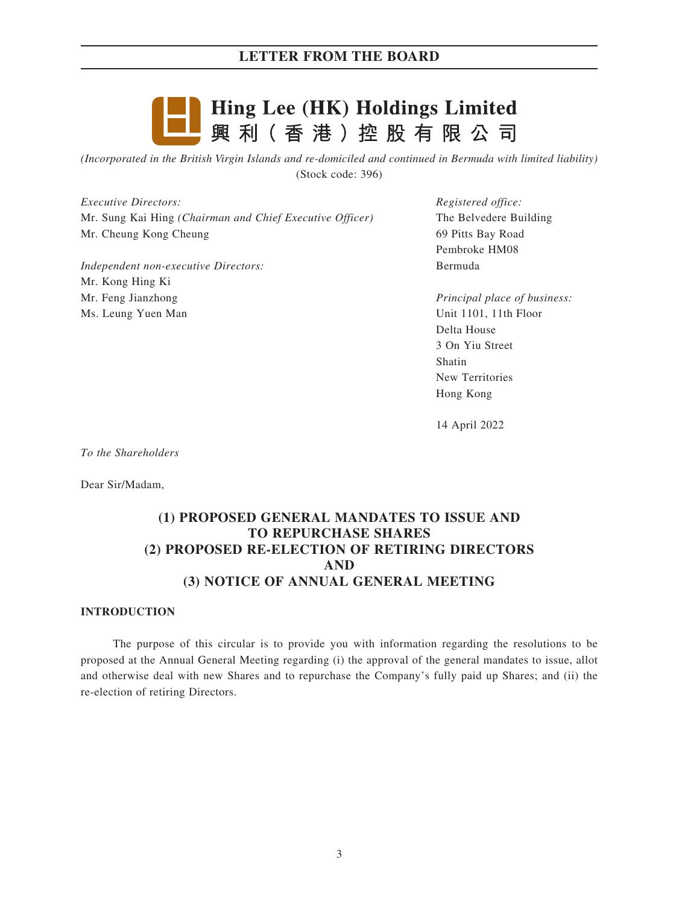

*(Incorporated in the British Virgin Islands and re-domiciled and continued in Bermuda with limited liability)* (Stock code: 396)

*Executive Directors:* Mr. Sung Kai Hing *(Chairman and Chief Executive Officer)* Mr. Cheung Kong Cheung

*Independent non-executive Directors:* Mr. Kong Hing Ki Mr. Feng Jianzhong Ms. Leung Yuen Man

*Registered office:* The Belvedere Building 69 Pitts Bay Road Pembroke HM08 Bermuda

*Principal place of business:* Unit 1101, 11th Floor Delta House 3 On Yiu Street Shatin New Territories Hong Kong

14 April 2022

*To the Shareholders*

Dear Sir/Madam,

# **(1) PROPOSED GENERAL MANDATES TO ISSUE AND TO REPURCHASE SHARES (2) PROPOSED RE-ELECTION OF RETIRING DIRECTORS AND (3) NOTICE OF ANNUAL GENERAL MEETING**

#### **INTRODUCTION**

The purpose of this circular is to provide you with information regarding the resolutions to be proposed at the Annual General Meeting regarding (i) the approval of the general mandates to issue, allot and otherwise deal with new Shares and to repurchase the Company's fully paid up Shares; and (ii) the re-election of retiring Directors.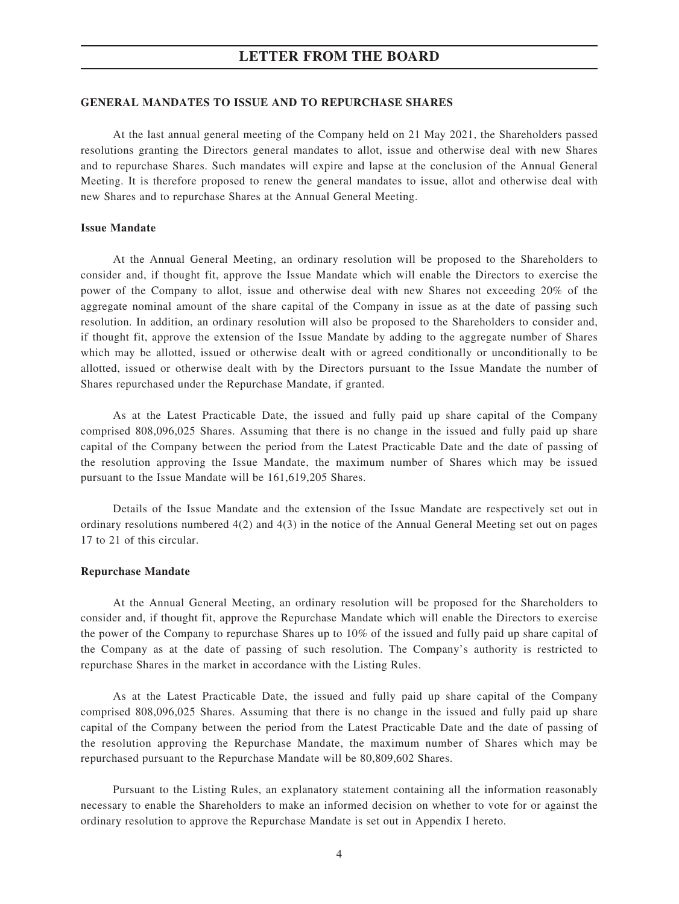#### **GENERAL MANDATES TO ISSUE AND TO REPURCHASE SHARES**

At the last annual general meeting of the Company held on 21 May 2021, the Shareholders passed resolutions granting the Directors general mandates to allot, issue and otherwise deal with new Shares and to repurchase Shares. Such mandates will expire and lapse at the conclusion of the Annual General Meeting. It is therefore proposed to renew the general mandates to issue, allot and otherwise deal with new Shares and to repurchase Shares at the Annual General Meeting.

#### **Issue Mandate**

At the Annual General Meeting, an ordinary resolution will be proposed to the Shareholders to consider and, if thought fit, approve the Issue Mandate which will enable the Directors to exercise the power of the Company to allot, issue and otherwise deal with new Shares not exceeding 20% of the aggregate nominal amount of the share capital of the Company in issue as at the date of passing such resolution. In addition, an ordinary resolution will also be proposed to the Shareholders to consider and, if thought fit, approve the extension of the Issue Mandate by adding to the aggregate number of Shares which may be allotted, issued or otherwise dealt with or agreed conditionally or unconditionally to be allotted, issued or otherwise dealt with by the Directors pursuant to the Issue Mandate the number of Shares repurchased under the Repurchase Mandate, if granted.

As at the Latest Practicable Date, the issued and fully paid up share capital of the Company comprised 808,096,025 Shares. Assuming that there is no change in the issued and fully paid up share capital of the Company between the period from the Latest Practicable Date and the date of passing of the resolution approving the Issue Mandate, the maximum number of Shares which may be issued pursuant to the Issue Mandate will be 161,619,205 Shares.

Details of the Issue Mandate and the extension of the Issue Mandate are respectively set out in ordinary resolutions numbered 4(2) and 4(3) in the notice of the Annual General Meeting set out on pages 17 to 21 of this circular.

#### **Repurchase Mandate**

At the Annual General Meeting, an ordinary resolution will be proposed for the Shareholders to consider and, if thought fit, approve the Repurchase Mandate which will enable the Directors to exercise the power of the Company to repurchase Shares up to 10% of the issued and fully paid up share capital of the Company as at the date of passing of such resolution. The Company's authority is restricted to repurchase Shares in the market in accordance with the Listing Rules.

As at the Latest Practicable Date, the issued and fully paid up share capital of the Company comprised 808,096,025 Shares. Assuming that there is no change in the issued and fully paid up share capital of the Company between the period from the Latest Practicable Date and the date of passing of the resolution approving the Repurchase Mandate, the maximum number of Shares which may be repurchased pursuant to the Repurchase Mandate will be 80,809,602 Shares.

Pursuant to the Listing Rules, an explanatory statement containing all the information reasonably necessary to enable the Shareholders to make an informed decision on whether to vote for or against the ordinary resolution to approve the Repurchase Mandate is set out in Appendix I hereto.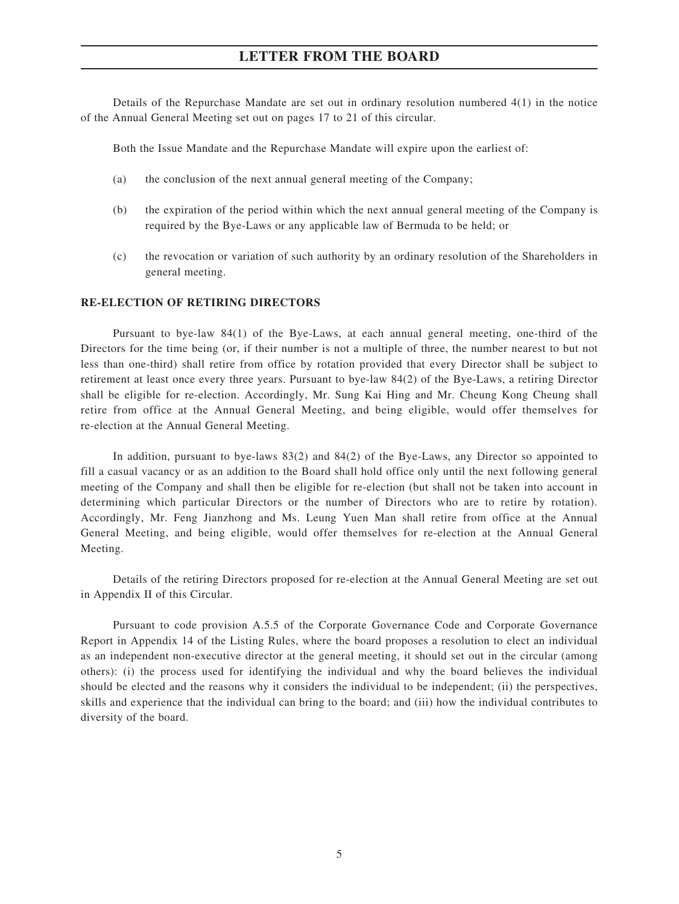Details of the Repurchase Mandate are set out in ordinary resolution numbered 4(1) in the notice of the Annual General Meeting set out on pages 17 to 21 of this circular.

Both the Issue Mandate and the Repurchase Mandate will expire upon the earliest of:

- (a) the conclusion of the next annual general meeting of the Company;
- (b) the expiration of the period within which the next annual general meeting of the Company is required by the Bye-Laws or any applicable law of Bermuda to be held; or
- (c) the revocation or variation of such authority by an ordinary resolution of the Shareholders in general meeting.

#### **RE-ELECTION OF RETIRING DIRECTORS**

Pursuant to bye-law 84(1) of the Bye-Laws, at each annual general meeting, one-third of the Directors for the time being (or, if their number is not a multiple of three, the number nearest to but not less than one-third) shall retire from office by rotation provided that every Director shall be subject to retirement at least once every three years. Pursuant to bye-law 84(2) of the Bye-Laws, a retiring Director shall be eligible for re-election. Accordingly, Mr. Sung Kai Hing and Mr. Cheung Kong Cheung shall retire from office at the Annual General Meeting, and being eligible, would offer themselves for re-election at the Annual General Meeting.

In addition, pursuant to bye-laws 83(2) and 84(2) of the Bye-Laws, any Director so appointed to fill a casual vacancy or as an addition to the Board shall hold office only until the next following general meeting of the Company and shall then be eligible for re-election (but shall not be taken into account in determining which particular Directors or the number of Directors who are to retire by rotation). Accordingly, Mr. Feng Jianzhong and Ms. Leung Yuen Man shall retire from office at the Annual General Meeting, and being eligible, would offer themselves for re-election at the Annual General Meeting.

Details of the retiring Directors proposed for re-election at the Annual General Meeting are set out in Appendix II of this Circular.

Pursuant to code provision A.5.5 of the Corporate Governance Code and Corporate Governance Report in Appendix 14 of the Listing Rules, where the board proposes a resolution to elect an individual as an independent non-executive director at the general meeting, it should set out in the circular (among others): (i) the process used for identifying the individual and why the board believes the individual should be elected and the reasons why it considers the individual to be independent; (ii) the perspectives, skills and experience that the individual can bring to the board; and (iii) how the individual contributes to diversity of the board.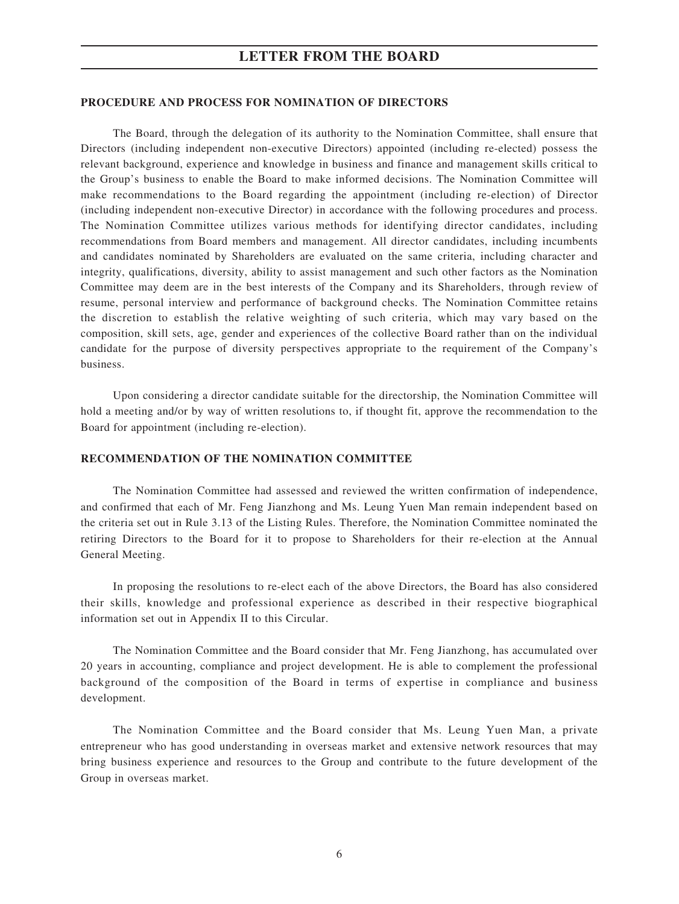#### **PROCEDURE AND PROCESS FOR NOMINATION OF DIRECTORS**

The Board, through the delegation of its authority to the Nomination Committee, shall ensure that Directors (including independent non-executive Directors) appointed (including re-elected) possess the relevant background, experience and knowledge in business and finance and management skills critical to the Group's business to enable the Board to make informed decisions. The Nomination Committee will make recommendations to the Board regarding the appointment (including re-election) of Director (including independent non-executive Director) in accordance with the following procedures and process. The Nomination Committee utilizes various methods for identifying director candidates, including recommendations from Board members and management. All director candidates, including incumbents and candidates nominated by Shareholders are evaluated on the same criteria, including character and integrity, qualifications, diversity, ability to assist management and such other factors as the Nomination Committee may deem are in the best interests of the Company and its Shareholders, through review of resume, personal interview and performance of background checks. The Nomination Committee retains the discretion to establish the relative weighting of such criteria, which may vary based on the composition, skill sets, age, gender and experiences of the collective Board rather than on the individual candidate for the purpose of diversity perspectives appropriate to the requirement of the Company's business.

Upon considering a director candidate suitable for the directorship, the Nomination Committee will hold a meeting and/or by way of written resolutions to, if thought fit, approve the recommendation to the Board for appointment (including re-election).

#### **RECOMMENDATION OF THE NOMINATION COMMITTEE**

The Nomination Committee had assessed and reviewed the written confirmation of independence, and confirmed that each of Mr. Feng Jianzhong and Ms. Leung Yuen Man remain independent based on the criteria set out in Rule 3.13 of the Listing Rules. Therefore, the Nomination Committee nominated the retiring Directors to the Board for it to propose to Shareholders for their re-election at the Annual General Meeting.

In proposing the resolutions to re-elect each of the above Directors, the Board has also considered their skills, knowledge and professional experience as described in their respective biographical information set out in Appendix II to this Circular.

The Nomination Committee and the Board consider that Mr. Feng Jianzhong, has accumulated over 20 years in accounting, compliance and project development. He is able to complement the professional background of the composition of the Board in terms of expertise in compliance and business development.

The Nomination Committee and the Board consider that Ms. Leung Yuen Man, a private entrepreneur who has good understanding in overseas market and extensive network resources that may bring business experience and resources to the Group and contribute to the future development of the Group in overseas market.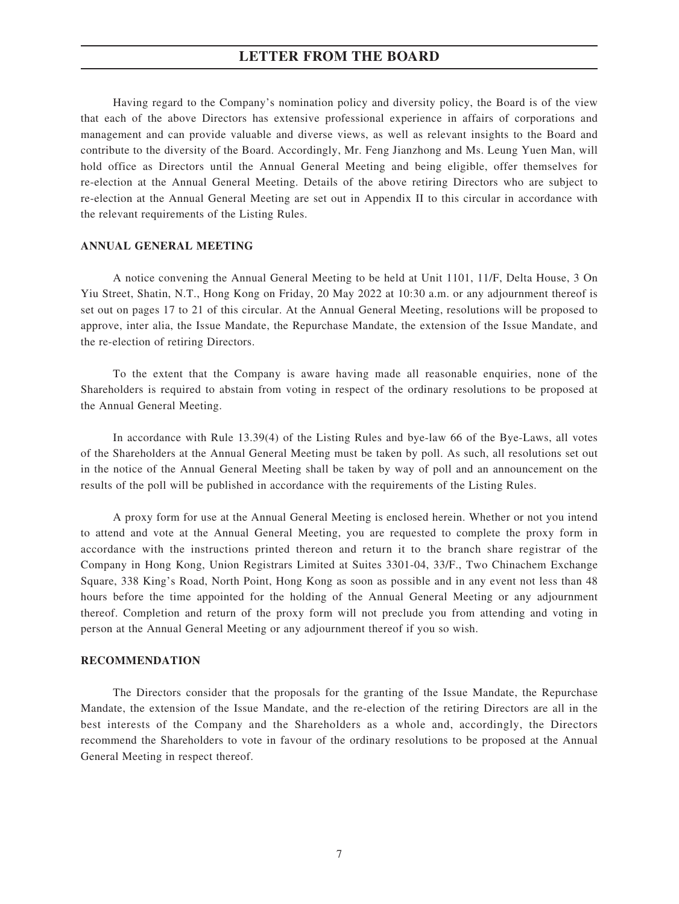Having regard to the Company's nomination policy and diversity policy, the Board is of the view that each of the above Directors has extensive professional experience in affairs of corporations and management and can provide valuable and diverse views, as well as relevant insights to the Board and contribute to the diversity of the Board. Accordingly, Mr. Feng Jianzhong and Ms. Leung Yuen Man, will hold office as Directors until the Annual General Meeting and being eligible, offer themselves for re-election at the Annual General Meeting. Details of the above retiring Directors who are subject to re-election at the Annual General Meeting are set out in Appendix II to this circular in accordance with the relevant requirements of the Listing Rules.

#### **ANNUAL GENERAL MEETING**

A notice convening the Annual General Meeting to be held at Unit 1101, 11/F, Delta House, 3 On Yiu Street, Shatin, N.T., Hong Kong on Friday, 20 May 2022 at 10:30 a.m. or any adjournment thereof is set out on pages 17 to 21 of this circular. At the Annual General Meeting, resolutions will be proposed to approve, inter alia, the Issue Mandate, the Repurchase Mandate, the extension of the Issue Mandate, and the re-election of retiring Directors.

To the extent that the Company is aware having made all reasonable enquiries, none of the Shareholders is required to abstain from voting in respect of the ordinary resolutions to be proposed at the Annual General Meeting.

In accordance with Rule 13.39(4) of the Listing Rules and bye-law 66 of the Bye-Laws, all votes of the Shareholders at the Annual General Meeting must be taken by poll. As such, all resolutions set out in the notice of the Annual General Meeting shall be taken by way of poll and an announcement on the results of the poll will be published in accordance with the requirements of the Listing Rules.

A proxy form for use at the Annual General Meeting is enclosed herein. Whether or not you intend to attend and vote at the Annual General Meeting, you are requested to complete the proxy form in accordance with the instructions printed thereon and return it to the branch share registrar of the Company in Hong Kong, Union Registrars Limited at Suites 3301-04, 33/F., Two Chinachem Exchange Square, 338 King's Road, North Point, Hong Kong as soon as possible and in any event not less than 48 hours before the time appointed for the holding of the Annual General Meeting or any adjournment thereof. Completion and return of the proxy form will not preclude you from attending and voting in person at the Annual General Meeting or any adjournment thereof if you so wish.

#### **RECOMMENDATION**

The Directors consider that the proposals for the granting of the Issue Mandate, the Repurchase Mandate, the extension of the Issue Mandate, and the re-election of the retiring Directors are all in the best interests of the Company and the Shareholders as a whole and, accordingly, the Directors recommend the Shareholders to vote in favour of the ordinary resolutions to be proposed at the Annual General Meeting in respect thereof.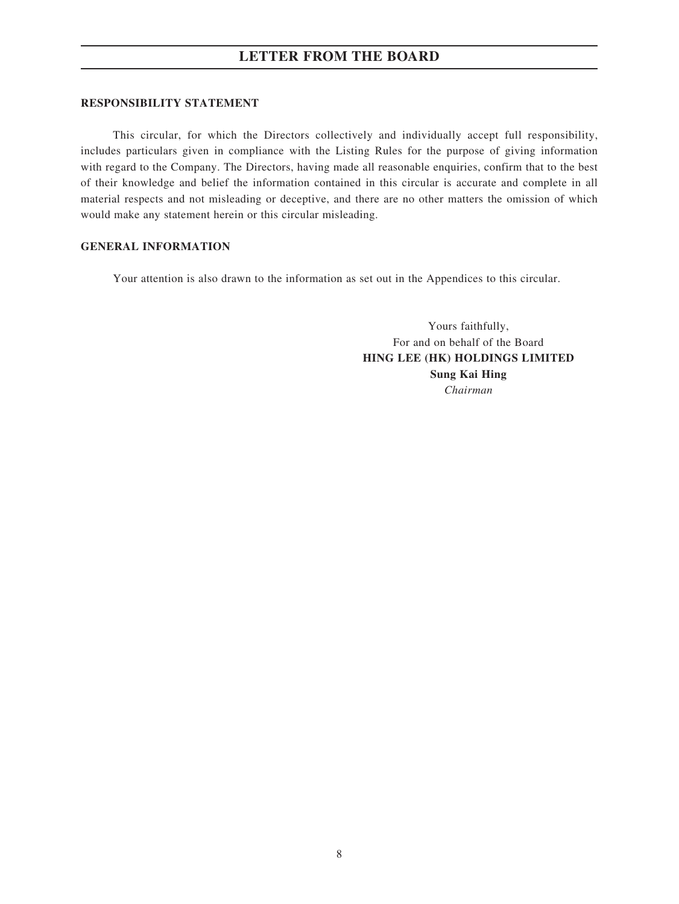#### **RESPONSIBILITY STATEMENT**

This circular, for which the Directors collectively and individually accept full responsibility, includes particulars given in compliance with the Listing Rules for the purpose of giving information with regard to the Company. The Directors, having made all reasonable enquiries, confirm that to the best of their knowledge and belief the information contained in this circular is accurate and complete in all material respects and not misleading or deceptive, and there are no other matters the omission of which would make any statement herein or this circular misleading.

#### **GENERAL INFORMATION**

Your attention is also drawn to the information as set out in the Appendices to this circular.

Yours faithfully, For and on behalf of the Board **HING LEE (HK) HOLDINGS LIMITED Sung Kai Hing** *Chairman*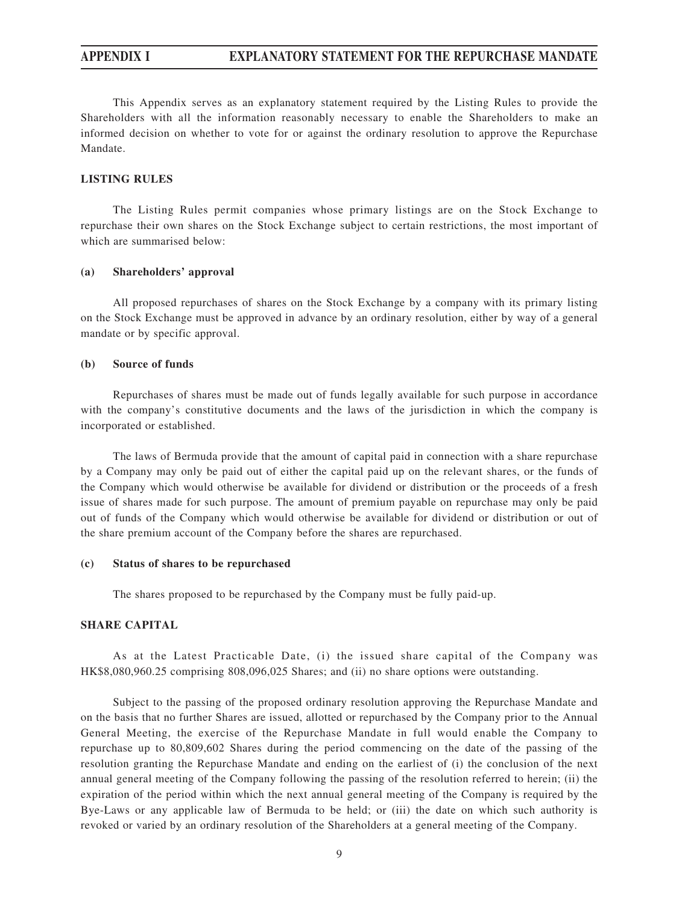This Appendix serves as an explanatory statement required by the Listing Rules to provide the Shareholders with all the information reasonably necessary to enable the Shareholders to make an informed decision on whether to vote for or against the ordinary resolution to approve the Repurchase Mandate.

#### **LISTING RULES**

The Listing Rules permit companies whose primary listings are on the Stock Exchange to repurchase their own shares on the Stock Exchange subject to certain restrictions, the most important of which are summarised below:

#### **(a) Shareholders' approval**

All proposed repurchases of shares on the Stock Exchange by a company with its primary listing on the Stock Exchange must be approved in advance by an ordinary resolution, either by way of a general mandate or by specific approval.

#### **(b) Source of funds**

Repurchases of shares must be made out of funds legally available for such purpose in accordance with the company's constitutive documents and the laws of the jurisdiction in which the company is incorporated or established.

The laws of Bermuda provide that the amount of capital paid in connection with a share repurchase by a Company may only be paid out of either the capital paid up on the relevant shares, or the funds of the Company which would otherwise be available for dividend or distribution or the proceeds of a fresh issue of shares made for such purpose. The amount of premium payable on repurchase may only be paid out of funds of the Company which would otherwise be available for dividend or distribution or out of the share premium account of the Company before the shares are repurchased.

#### **(c) Status of shares to be repurchased**

The shares proposed to be repurchased by the Company must be fully paid-up.

#### **SHARE CAPITAL**

As at the Latest Practicable Date, (i) the issued share capital of the Company was HK\$8,080,960.25 comprising 808,096,025 Shares; and (ii) no share options were outstanding.

Subject to the passing of the proposed ordinary resolution approving the Repurchase Mandate and on the basis that no further Shares are issued, allotted or repurchased by the Company prior to the Annual General Meeting, the exercise of the Repurchase Mandate in full would enable the Company to repurchase up to 80,809,602 Shares during the period commencing on the date of the passing of the resolution granting the Repurchase Mandate and ending on the earliest of (i) the conclusion of the next annual general meeting of the Company following the passing of the resolution referred to herein; (ii) the expiration of the period within which the next annual general meeting of the Company is required by the Bye-Laws or any applicable law of Bermuda to be held; or (iii) the date on which such authority is revoked or varied by an ordinary resolution of the Shareholders at a general meeting of the Company.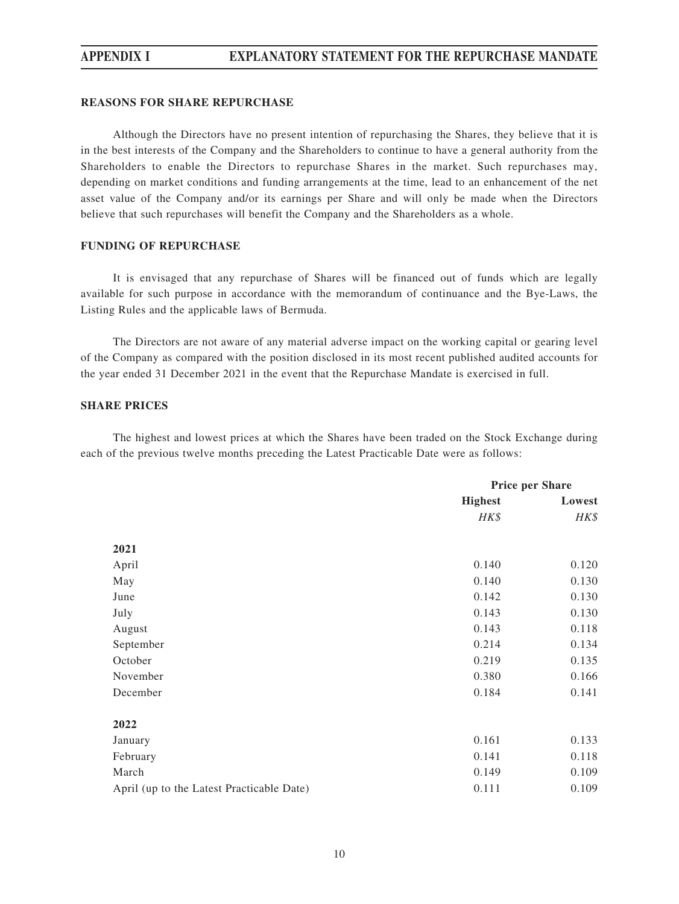#### **REASONS FOR SHARE REPURCHASE**

Although the Directors have no present intention of repurchasing the Shares, they believe that it is in the best interests of the Company and the Shareholders to continue to have a general authority from the Shareholders to enable the Directors to repurchase Shares in the market. Such repurchases may, depending on market conditions and funding arrangements at the time, lead to an enhancement of the net asset value of the Company and/or its earnings per Share and will only be made when the Directors believe that such repurchases will benefit the Company and the Shareholders as a whole.

#### **FUNDING OF REPURCHASE**

It is envisaged that any repurchase of Shares will be financed out of funds which are legally available for such purpose in accordance with the memorandum of continuance and the Bye-Laws, the Listing Rules and the applicable laws of Bermuda.

The Directors are not aware of any material adverse impact on the working capital or gearing level of the Company as compared with the position disclosed in its most recent published audited accounts for the year ended 31 December 2021 in the event that the Repurchase Mandate is exercised in full.

#### **SHARE PRICES**

The highest and lowest prices at which the Shares have been traded on the Stock Exchange during each of the previous twelve months preceding the Latest Practicable Date were as follows:

|                                           | <b>Price per Share</b> |        |
|-------------------------------------------|------------------------|--------|
|                                           | <b>Highest</b>         | Lowest |
|                                           | HK\$                   | HK\$   |
| 2021                                      |                        |        |
| April                                     | 0.140                  | 0.120  |
| May                                       | 0.140                  | 0.130  |
| June                                      | 0.142                  | 0.130  |
| July                                      | 0.143                  | 0.130  |
| August                                    | 0.143                  | 0.118  |
| September                                 | 0.214                  | 0.134  |
| October                                   | 0.219                  | 0.135  |
| November                                  | 0.380                  | 0.166  |
| December                                  | 0.184                  | 0.141  |
| 2022                                      |                        |        |
| January                                   | 0.161                  | 0.133  |
| February                                  | 0.141                  | 0.118  |
| March                                     | 0.149                  | 0.109  |
| April (up to the Latest Practicable Date) | 0.111                  | 0.109  |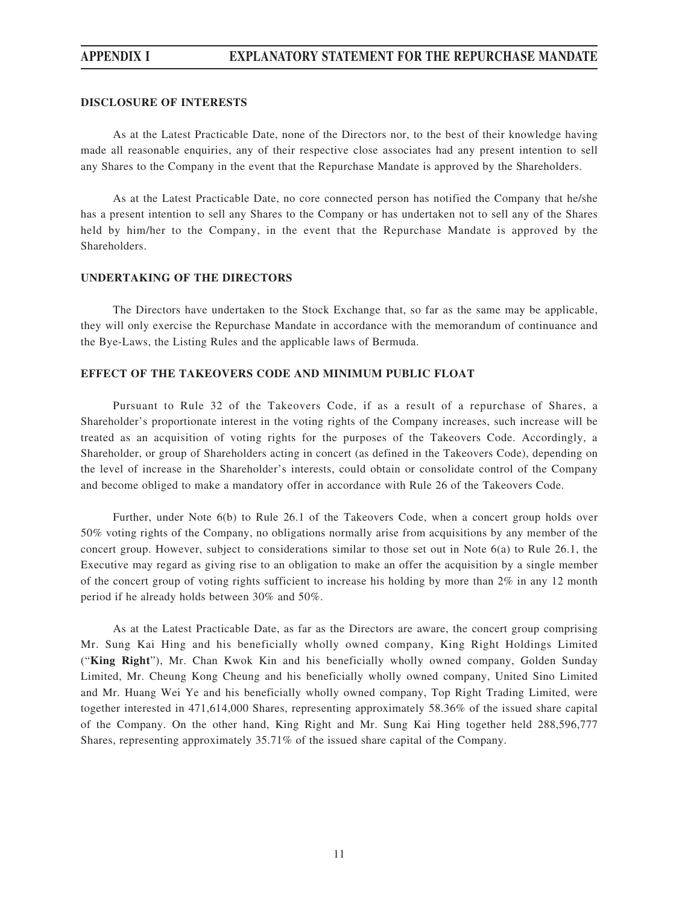#### **DISCLOSURE OF INTERESTS**

As at the Latest Practicable Date, none of the Directors nor, to the best of their knowledge having made all reasonable enquiries, any of their respective close associates had any present intention to sell any Shares to the Company in the event that the Repurchase Mandate is approved by the Shareholders.

As at the Latest Practicable Date, no core connected person has notified the Company that he/she has a present intention to sell any Shares to the Company or has undertaken not to sell any of the Shares held by him/her to the Company, in the event that the Repurchase Mandate is approved by the Shareholders.

#### **UNDERTAKING OF THE DIRECTORS**

The Directors have undertaken to the Stock Exchange that, so far as the same may be applicable, they will only exercise the Repurchase Mandate in accordance with the memorandum of continuance and the Bye-Laws, the Listing Rules and the applicable laws of Bermuda.

#### **EFFECT OF THE TAKEOVERS CODE AND MINIMUM PUBLIC FLOAT**

Pursuant to Rule 32 of the Takeovers Code, if as a result of a repurchase of Shares, a Shareholder's proportionate interest in the voting rights of the Company increases, such increase will be treated as an acquisition of voting rights for the purposes of the Takeovers Code. Accordingly, a Shareholder, or group of Shareholders acting in concert (as defined in the Takeovers Code), depending on the level of increase in the Shareholder's interests, could obtain or consolidate control of the Company and become obliged to make a mandatory offer in accordance with Rule 26 of the Takeovers Code.

Further, under Note 6(b) to Rule 26.1 of the Takeovers Code, when a concert group holds over 50% voting rights of the Company, no obligations normally arise from acquisitions by any member of the concert group. However, subject to considerations similar to those set out in Note 6(a) to Rule 26.1, the Executive may regard as giving rise to an obligation to make an offer the acquisition by a single member of the concert group of voting rights sufficient to increase his holding by more than 2% in any 12 month period if he already holds between 30% and 50%.

As at the Latest Practicable Date, as far as the Directors are aware, the concert group comprising Mr. Sung Kai Hing and his beneficially wholly owned company, King Right Holdings Limited ("**King Right**"), Mr. Chan Kwok Kin and his beneficially wholly owned company, Golden Sunday Limited, Mr. Cheung Kong Cheung and his beneficially wholly owned company, United Sino Limited and Mr. Huang Wei Ye and his beneficially wholly owned company, Top Right Trading Limited, were together interested in 471,614,000 Shares, representing approximately 58.36% of the issued share capital of the Company. On the other hand, King Right and Mr. Sung Kai Hing together held 288,596,777 Shares, representing approximately 35.71% of the issued share capital of the Company.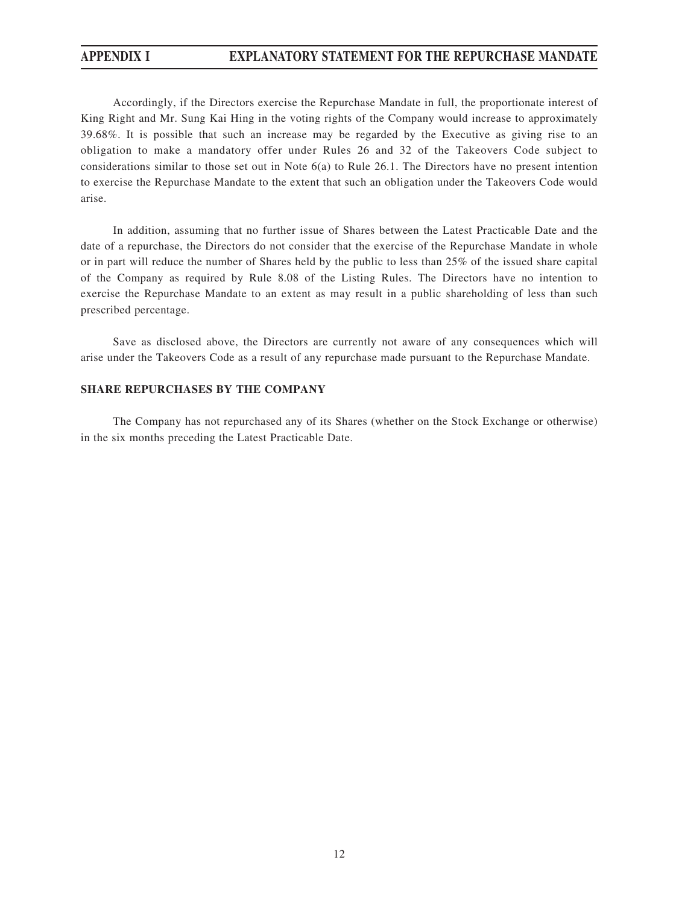Accordingly, if the Directors exercise the Repurchase Mandate in full, the proportionate interest of King Right and Mr. Sung Kai Hing in the voting rights of the Company would increase to approximately 39.68%. It is possible that such an increase may be regarded by the Executive as giving rise to an obligation to make a mandatory offer under Rules 26 and 32 of the Takeovers Code subject to considerations similar to those set out in Note  $6(a)$  to Rule 26.1. The Directors have no present intention to exercise the Repurchase Mandate to the extent that such an obligation under the Takeovers Code would arise.

In addition, assuming that no further issue of Shares between the Latest Practicable Date and the date of a repurchase, the Directors do not consider that the exercise of the Repurchase Mandate in whole or in part will reduce the number of Shares held by the public to less than 25% of the issued share capital of the Company as required by Rule 8.08 of the Listing Rules. The Directors have no intention to exercise the Repurchase Mandate to an extent as may result in a public shareholding of less than such prescribed percentage.

Save as disclosed above, the Directors are currently not aware of any consequences which will arise under the Takeovers Code as a result of any repurchase made pursuant to the Repurchase Mandate.

#### **SHARE REPURCHASES BY THE COMPANY**

The Company has not repurchased any of its Shares (whether on the Stock Exchange or otherwise) in the six months preceding the Latest Practicable Date.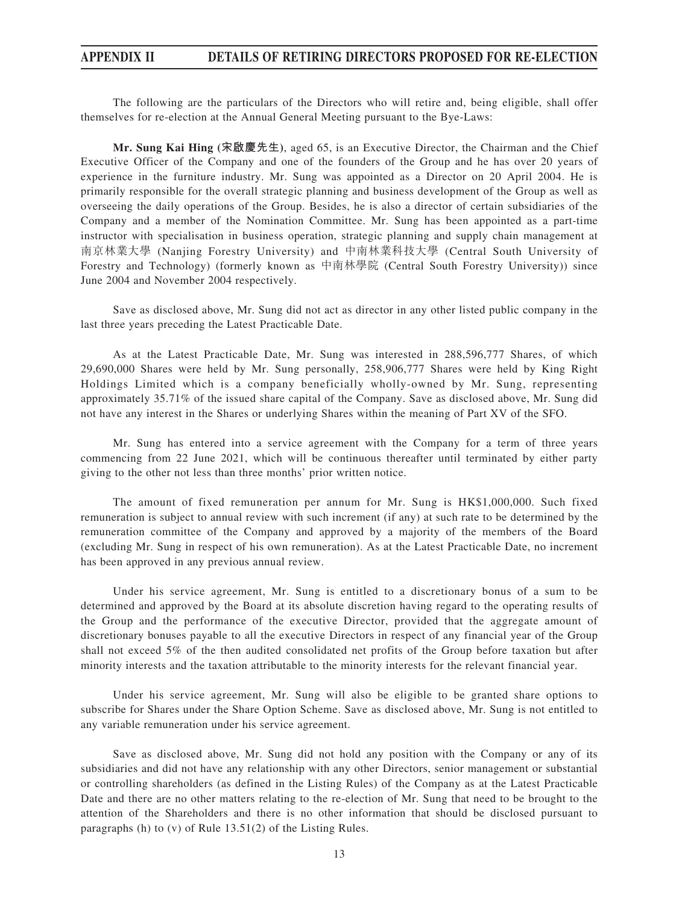The following are the particulars of the Directors who will retire and, being eligible, shall offer themselves for re-election at the Annual General Meeting pursuant to the Bye-Laws:

**Mr. Sung Kai Hing (宋啟慶先生)**, aged 65, is an Executive Director, the Chairman and the Chief Executive Officer of the Company and one of the founders of the Group and he has over 20 years of experience in the furniture industry. Mr. Sung was appointed as a Director on 20 April 2004. He is primarily responsible for the overall strategic planning and business development of the Group as well as overseeing the daily operations of the Group. Besides, he is also a director of certain subsidiaries of the Company and a member of the Nomination Committee. Mr. Sung has been appointed as a part-time instructor with specialisation in business operation, strategic planning and supply chain management at 南京林業大學 (Nanjing Forestry University) and 中南林業科技大學 (Central South University of Forestry and Technology) (formerly known as 中南林學院 (Central South Forestry University)) since June 2004 and November 2004 respectively.

Save as disclosed above, Mr. Sung did not act as director in any other listed public company in the last three years preceding the Latest Practicable Date.

As at the Latest Practicable Date, Mr. Sung was interested in 288,596,777 Shares, of which 29,690,000 Shares were held by Mr. Sung personally, 258,906,777 Shares were held by King Right Holdings Limited which is a company beneficially wholly-owned by Mr. Sung, representing approximately 35.71% of the issued share capital of the Company. Save as disclosed above, Mr. Sung did not have any interest in the Shares or underlying Shares within the meaning of Part XV of the SFO.

Mr. Sung has entered into a service agreement with the Company for a term of three years commencing from 22 June 2021, which will be continuous thereafter until terminated by either party giving to the other not less than three months' prior written notice.

The amount of fixed remuneration per annum for Mr. Sung is HK\$1,000,000. Such fixed remuneration is subject to annual review with such increment (if any) at such rate to be determined by the remuneration committee of the Company and approved by a majority of the members of the Board (excluding Mr. Sung in respect of his own remuneration). As at the Latest Practicable Date, no increment has been approved in any previous annual review.

Under his service agreement, Mr. Sung is entitled to a discretionary bonus of a sum to be determined and approved by the Board at its absolute discretion having regard to the operating results of the Group and the performance of the executive Director, provided that the aggregate amount of discretionary bonuses payable to all the executive Directors in respect of any financial year of the Group shall not exceed 5% of the then audited consolidated net profits of the Group before taxation but after minority interests and the taxation attributable to the minority interests for the relevant financial year.

Under his service agreement, Mr. Sung will also be eligible to be granted share options to subscribe for Shares under the Share Option Scheme. Save as disclosed above, Mr. Sung is not entitled to any variable remuneration under his service agreement.

Save as disclosed above, Mr. Sung did not hold any position with the Company or any of its subsidiaries and did not have any relationship with any other Directors, senior management or substantial or controlling shareholders (as defined in the Listing Rules) of the Company as at the Latest Practicable Date and there are no other matters relating to the re-election of Mr. Sung that need to be brought to the attention of the Shareholders and there is no other information that should be disclosed pursuant to paragraphs (h) to (v) of Rule 13.51(2) of the Listing Rules.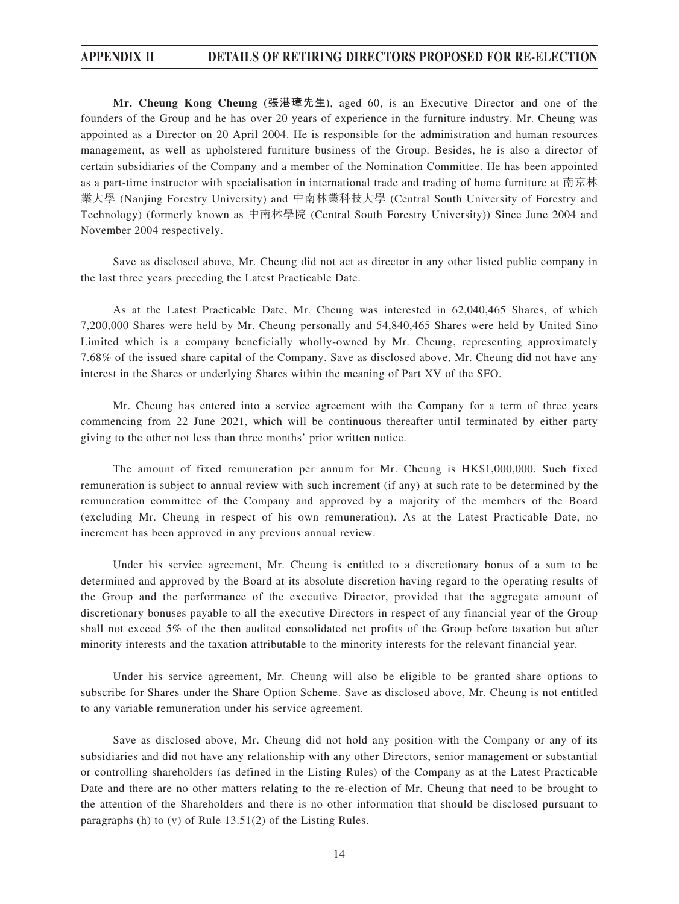**Mr. Cheung Kong Cheung (張港璋先生)**, aged 60, is an Executive Director and one of the founders of the Group and he has over 20 years of experience in the furniture industry. Mr. Cheung was appointed as a Director on 20 April 2004. He is responsible for the administration and human resources management, as well as upholstered furniture business of the Group. Besides, he is also a director of certain subsidiaries of the Company and a member of the Nomination Committee. He has been appointed as a part-time instructor with specialisation in international trade and trading of home furniture at 南京林 業大學 (Nanjing Forestry University) and 中南林業科技大學 (Central South University of Forestry and Technology) (formerly known as 中南林學院 (Central South Forestry University)) Since June 2004 and November 2004 respectively.

Save as disclosed above, Mr. Cheung did not act as director in any other listed public company in the last three years preceding the Latest Practicable Date.

As at the Latest Practicable Date, Mr. Cheung was interested in 62,040,465 Shares, of which 7,200,000 Shares were held by Mr. Cheung personally and 54,840,465 Shares were held by United Sino Limited which is a company beneficially wholly-owned by Mr. Cheung, representing approximately 7.68% of the issued share capital of the Company. Save as disclosed above, Mr. Cheung did not have any interest in the Shares or underlying Shares within the meaning of Part XV of the SFO.

Mr. Cheung has entered into a service agreement with the Company for a term of three years commencing from 22 June 2021, which will be continuous thereafter until terminated by either party giving to the other not less than three months' prior written notice.

The amount of fixed remuneration per annum for Mr. Cheung is HK\$1,000,000. Such fixed remuneration is subject to annual review with such increment (if any) at such rate to be determined by the remuneration committee of the Company and approved by a majority of the members of the Board (excluding Mr. Cheung in respect of his own remuneration). As at the Latest Practicable Date, no increment has been approved in any previous annual review.

Under his service agreement, Mr. Cheung is entitled to a discretionary bonus of a sum to be determined and approved by the Board at its absolute discretion having regard to the operating results of the Group and the performance of the executive Director, provided that the aggregate amount of discretionary bonuses payable to all the executive Directors in respect of any financial year of the Group shall not exceed 5% of the then audited consolidated net profits of the Group before taxation but after minority interests and the taxation attributable to the minority interests for the relevant financial year.

Under his service agreement, Mr. Cheung will also be eligible to be granted share options to subscribe for Shares under the Share Option Scheme. Save as disclosed above, Mr. Cheung is not entitled to any variable remuneration under his service agreement.

Save as disclosed above, Mr. Cheung did not hold any position with the Company or any of its subsidiaries and did not have any relationship with any other Directors, senior management or substantial or controlling shareholders (as defined in the Listing Rules) of the Company as at the Latest Practicable Date and there are no other matters relating to the re-election of Mr. Cheung that need to be brought to the attention of the Shareholders and there is no other information that should be disclosed pursuant to paragraphs (h) to (v) of Rule 13.51(2) of the Listing Rules.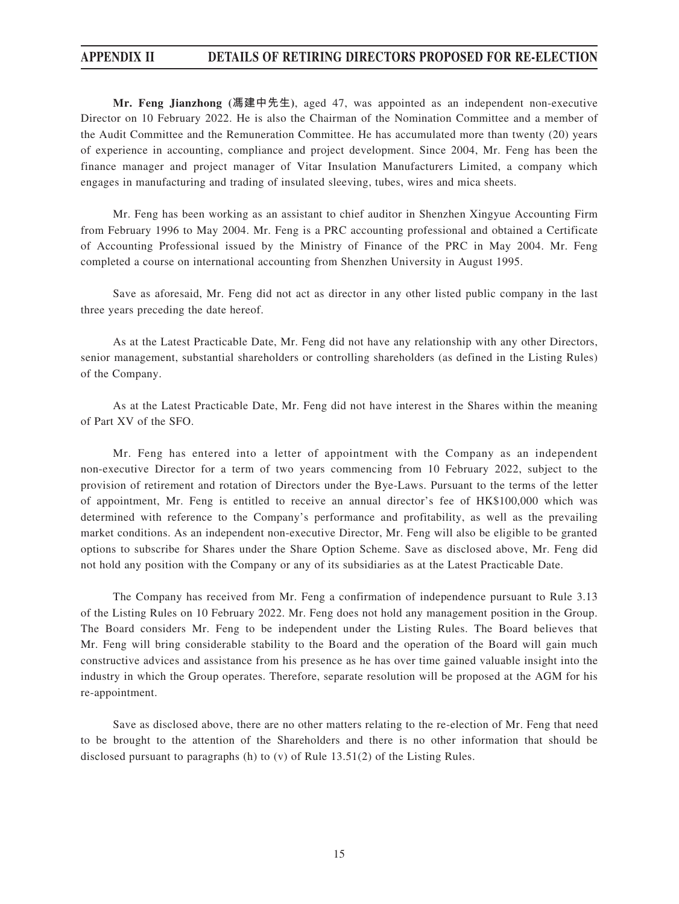**Mr. Feng Jianzhong (馮建中先生)**, aged 47, was appointed as an independent non-executive Director on 10 February 2022. He is also the Chairman of the Nomination Committee and a member of the Audit Committee and the Remuneration Committee. He has accumulated more than twenty (20) years of experience in accounting, compliance and project development. Since 2004, Mr. Feng has been the finance manager and project manager of Vitar Insulation Manufacturers Limited, a company which engages in manufacturing and trading of insulated sleeving, tubes, wires and mica sheets.

Mr. Feng has been working as an assistant to chief auditor in Shenzhen Xingyue Accounting Firm from February 1996 to May 2004. Mr. Feng is a PRC accounting professional and obtained a Certificate of Accounting Professional issued by the Ministry of Finance of the PRC in May 2004. Mr. Feng completed a course on international accounting from Shenzhen University in August 1995.

Save as aforesaid, Mr. Feng did not act as director in any other listed public company in the last three years preceding the date hereof.

As at the Latest Practicable Date, Mr. Feng did not have any relationship with any other Directors, senior management, substantial shareholders or controlling shareholders (as defined in the Listing Rules) of the Company.

As at the Latest Practicable Date, Mr. Feng did not have interest in the Shares within the meaning of Part XV of the SFO.

Mr. Feng has entered into a letter of appointment with the Company as an independent non-executive Director for a term of two years commencing from 10 February 2022, subject to the provision of retirement and rotation of Directors under the Bye-Laws. Pursuant to the terms of the letter of appointment, Mr. Feng is entitled to receive an annual director's fee of HK\$100,000 which was determined with reference to the Company's performance and profitability, as well as the prevailing market conditions. As an independent non-executive Director, Mr. Feng will also be eligible to be granted options to subscribe for Shares under the Share Option Scheme. Save as disclosed above, Mr. Feng did not hold any position with the Company or any of its subsidiaries as at the Latest Practicable Date.

The Company has received from Mr. Feng a confirmation of independence pursuant to Rule 3.13 of the Listing Rules on 10 February 2022. Mr. Feng does not hold any management position in the Group. The Board considers Mr. Feng to be independent under the Listing Rules. The Board believes that Mr. Feng will bring considerable stability to the Board and the operation of the Board will gain much constructive advices and assistance from his presence as he has over time gained valuable insight into the industry in which the Group operates. Therefore, separate resolution will be proposed at the AGM for his re-appointment.

Save as disclosed above, there are no other matters relating to the re-election of Mr. Feng that need to be brought to the attention of the Shareholders and there is no other information that should be disclosed pursuant to paragraphs (h) to (v) of Rule 13.51(2) of the Listing Rules.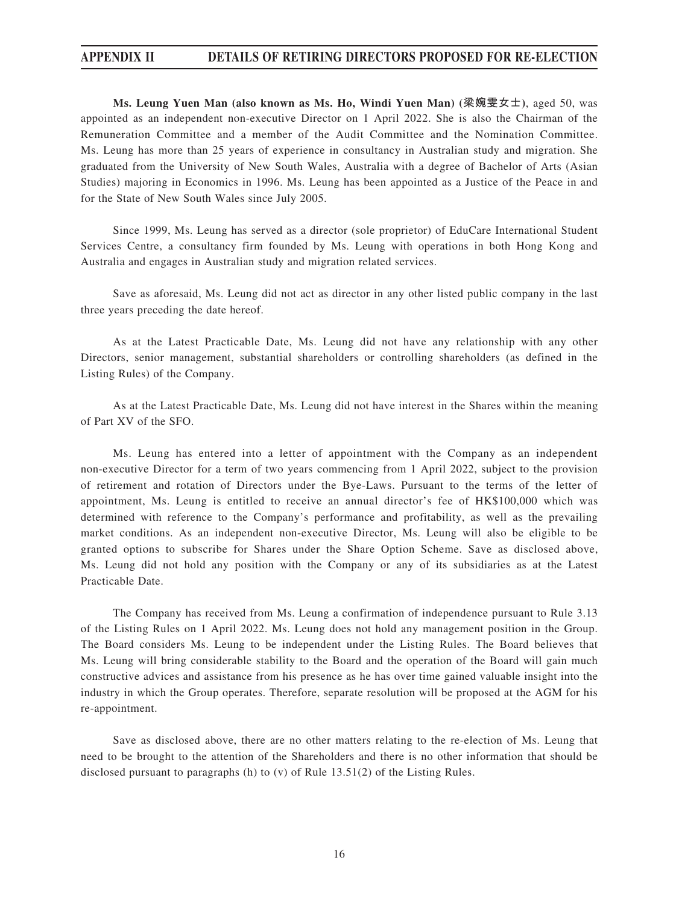**Ms. Leung Yuen Man (also known as Ms. Ho, Windi Yuen Man) (梁婉雯女士)**, aged 50, was appointed as an independent non-executive Director on 1 April 2022. She is also the Chairman of the Remuneration Committee and a member of the Audit Committee and the Nomination Committee. Ms. Leung has more than 25 years of experience in consultancy in Australian study and migration. She graduated from the University of New South Wales, Australia with a degree of Bachelor of Arts (Asian Studies) majoring in Economics in 1996. Ms. Leung has been appointed as a Justice of the Peace in and for the State of New South Wales since July 2005.

Since 1999, Ms. Leung has served as a director (sole proprietor) of EduCare International Student Services Centre, a consultancy firm founded by Ms. Leung with operations in both Hong Kong and Australia and engages in Australian study and migration related services.

Save as aforesaid, Ms. Leung did not act as director in any other listed public company in the last three years preceding the date hereof.

As at the Latest Practicable Date, Ms. Leung did not have any relationship with any other Directors, senior management, substantial shareholders or controlling shareholders (as defined in the Listing Rules) of the Company.

As at the Latest Practicable Date, Ms. Leung did not have interest in the Shares within the meaning of Part XV of the SFO.

Ms. Leung has entered into a letter of appointment with the Company as an independent non-executive Director for a term of two years commencing from 1 April 2022, subject to the provision of retirement and rotation of Directors under the Bye-Laws. Pursuant to the terms of the letter of appointment, Ms. Leung is entitled to receive an annual director's fee of HK\$100,000 which was determined with reference to the Company's performance and profitability, as well as the prevailing market conditions. As an independent non-executive Director, Ms. Leung will also be eligible to be granted options to subscribe for Shares under the Share Option Scheme. Save as disclosed above, Ms. Leung did not hold any position with the Company or any of its subsidiaries as at the Latest Practicable Date.

The Company has received from Ms. Leung a confirmation of independence pursuant to Rule 3.13 of the Listing Rules on 1 April 2022. Ms. Leung does not hold any management position in the Group. The Board considers Ms. Leung to be independent under the Listing Rules. The Board believes that Ms. Leung will bring considerable stability to the Board and the operation of the Board will gain much constructive advices and assistance from his presence as he has over time gained valuable insight into the industry in which the Group operates. Therefore, separate resolution will be proposed at the AGM for his re-appointment.

Save as disclosed above, there are no other matters relating to the re-election of Ms. Leung that need to be brought to the attention of the Shareholders and there is no other information that should be disclosed pursuant to paragraphs (h) to (v) of Rule 13.51(2) of the Listing Rules.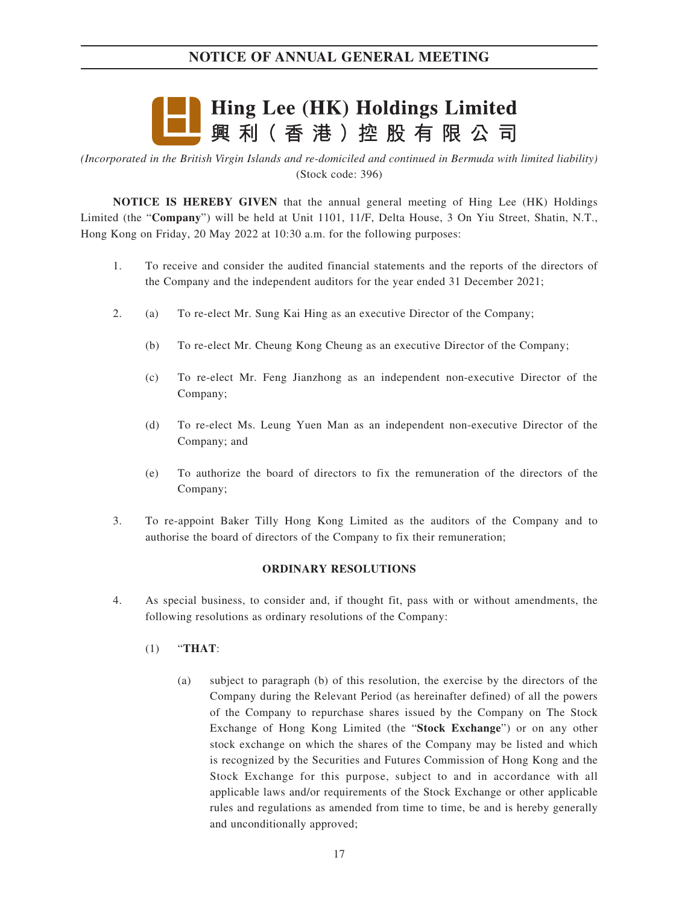

*(Incorporated in the British Virgin Islands and re-domiciled and continued in Bermuda with limited liability)* (Stock code: 396)

**NOTICE IS HEREBY GIVEN** that the annual general meeting of Hing Lee (HK) Holdings Limited (the "**Company**") will be held at Unit 1101, 11/F, Delta House, 3 On Yiu Street, Shatin, N.T., Hong Kong on Friday, 20 May 2022 at 10:30 a.m. for the following purposes:

- 1. To receive and consider the audited financial statements and the reports of the directors of the Company and the independent auditors for the year ended 31 December 2021;
- 2. (a) To re-elect Mr. Sung Kai Hing as an executive Director of the Company;
	- (b) To re-elect Mr. Cheung Kong Cheung as an executive Director of the Company;
	- (c) To re-elect Mr. Feng Jianzhong as an independent non-executive Director of the Company;
	- (d) To re-elect Ms. Leung Yuen Man as an independent non-executive Director of the Company; and
	- (e) To authorize the board of directors to fix the remuneration of the directors of the Company;
- 3. To re-appoint Baker Tilly Hong Kong Limited as the auditors of the Company and to authorise the board of directors of the Company to fix their remuneration;

#### **ORDINARY RESOLUTIONS**

- 4. As special business, to consider and, if thought fit, pass with or without amendments, the following resolutions as ordinary resolutions of the Company:
	- (1) "**THAT**:
		- (a) subject to paragraph (b) of this resolution, the exercise by the directors of the Company during the Relevant Period (as hereinafter defined) of all the powers of the Company to repurchase shares issued by the Company on The Stock Exchange of Hong Kong Limited (the "**Stock Exchange**") or on any other stock exchange on which the shares of the Company may be listed and which is recognized by the Securities and Futures Commission of Hong Kong and the Stock Exchange for this purpose, subject to and in accordance with all applicable laws and/or requirements of the Stock Exchange or other applicable rules and regulations as amended from time to time, be and is hereby generally and unconditionally approved;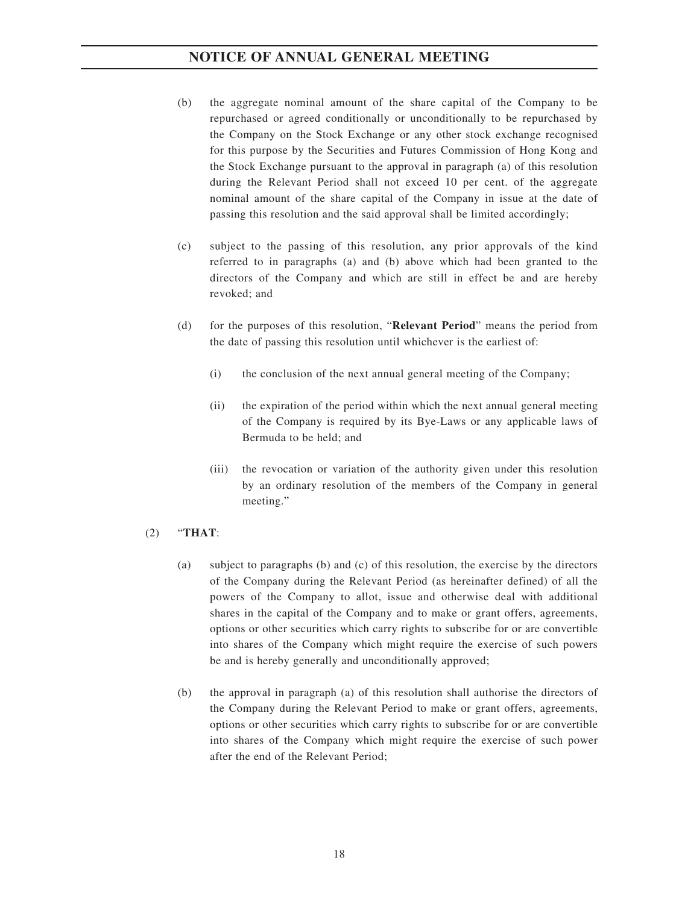- (b) the aggregate nominal amount of the share capital of the Company to be repurchased or agreed conditionally or unconditionally to be repurchased by the Company on the Stock Exchange or any other stock exchange recognised for this purpose by the Securities and Futures Commission of Hong Kong and the Stock Exchange pursuant to the approval in paragraph (a) of this resolution during the Relevant Period shall not exceed 10 per cent. of the aggregate nominal amount of the share capital of the Company in issue at the date of passing this resolution and the said approval shall be limited accordingly;
- (c) subject to the passing of this resolution, any prior approvals of the kind referred to in paragraphs (a) and (b) above which had been granted to the directors of the Company and which are still in effect be and are hereby revoked; and
- (d) for the purposes of this resolution, "**Relevant Period**" means the period from the date of passing this resolution until whichever is the earliest of:
	- (i) the conclusion of the next annual general meeting of the Company;
	- (ii) the expiration of the period within which the next annual general meeting of the Company is required by its Bye-Laws or any applicable laws of Bermuda to be held; and
	- (iii) the revocation or variation of the authority given under this resolution by an ordinary resolution of the members of the Company in general meeting."

### (2) "**THAT**:

- (a) subject to paragraphs (b) and (c) of this resolution, the exercise by the directors of the Company during the Relevant Period (as hereinafter defined) of all the powers of the Company to allot, issue and otherwise deal with additional shares in the capital of the Company and to make or grant offers, agreements, options or other securities which carry rights to subscribe for or are convertible into shares of the Company which might require the exercise of such powers be and is hereby generally and unconditionally approved;
- (b) the approval in paragraph (a) of this resolution shall authorise the directors of the Company during the Relevant Period to make or grant offers, agreements, options or other securities which carry rights to subscribe for or are convertible into shares of the Company which might require the exercise of such power after the end of the Relevant Period;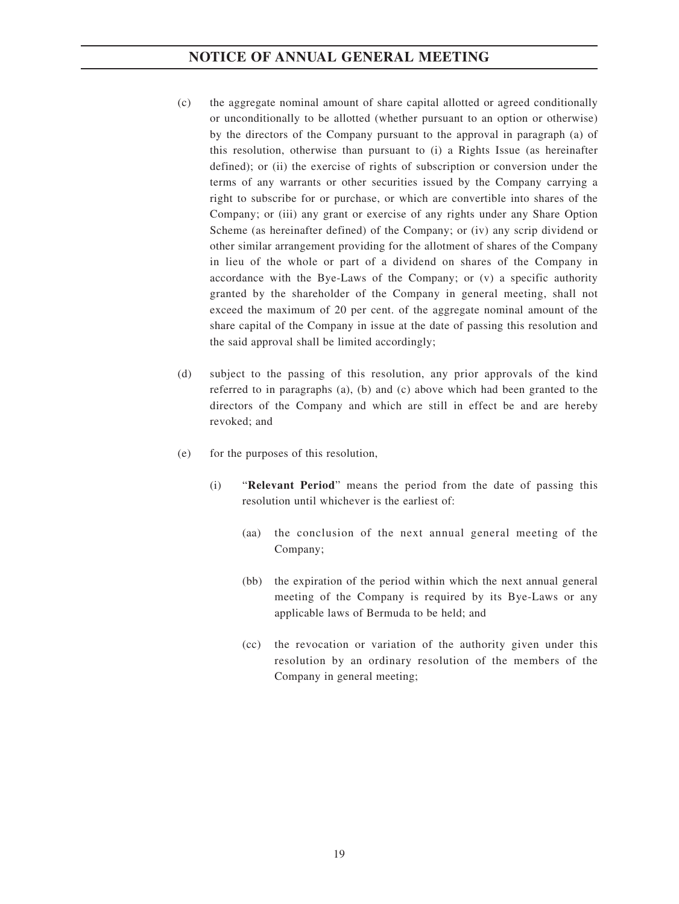- (c) the aggregate nominal amount of share capital allotted or agreed conditionally or unconditionally to be allotted (whether pursuant to an option or otherwise) by the directors of the Company pursuant to the approval in paragraph (a) of this resolution, otherwise than pursuant to (i) a Rights Issue (as hereinafter defined); or (ii) the exercise of rights of subscription or conversion under the terms of any warrants or other securities issued by the Company carrying a right to subscribe for or purchase, or which are convertible into shares of the Company; or (iii) any grant or exercise of any rights under any Share Option Scheme (as hereinafter defined) of the Company; or (iv) any scrip dividend or other similar arrangement providing for the allotment of shares of the Company in lieu of the whole or part of a dividend on shares of the Company in accordance with the Bye-Laws of the Company; or (v) a specific authority granted by the shareholder of the Company in general meeting, shall not exceed the maximum of 20 per cent. of the aggregate nominal amount of the share capital of the Company in issue at the date of passing this resolution and the said approval shall be limited accordingly;
- (d) subject to the passing of this resolution, any prior approvals of the kind referred to in paragraphs (a), (b) and (c) above which had been granted to the directors of the Company and which are still in effect be and are hereby revoked; and
- (e) for the purposes of this resolution,
	- (i) "**Relevant Period**" means the period from the date of passing this resolution until whichever is the earliest of:
		- (aa) the conclusion of the next annual general meeting of the Company;
		- (bb) the expiration of the period within which the next annual general meeting of the Company is required by its Bye-Laws or any applicable laws of Bermuda to be held; and
		- (cc) the revocation or variation of the authority given under this resolution by an ordinary resolution of the members of the Company in general meeting;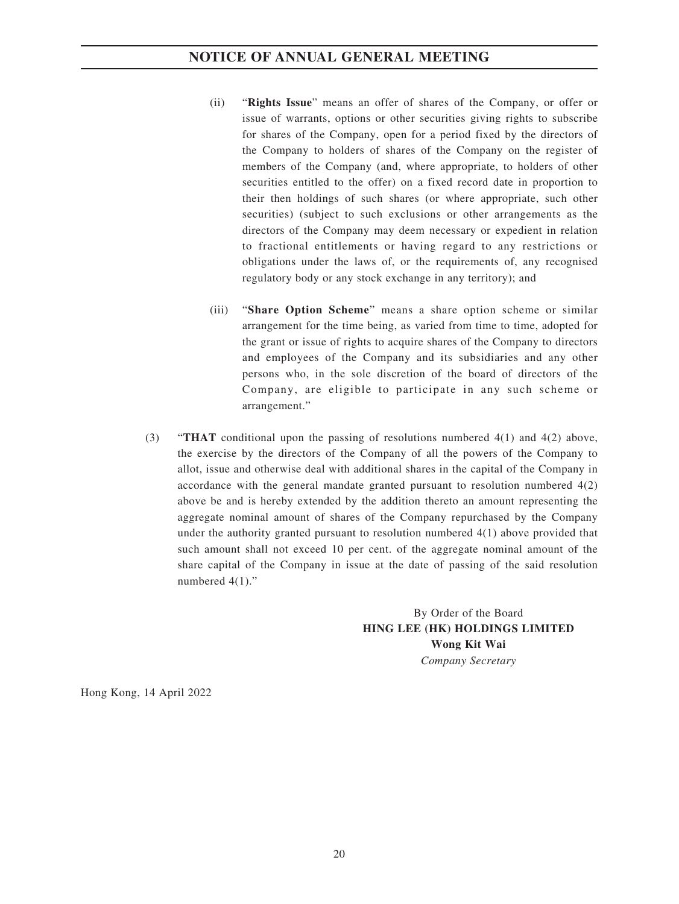- (ii) "**Rights Issue**" means an offer of shares of the Company, or offer or issue of warrants, options or other securities giving rights to subscribe for shares of the Company, open for a period fixed by the directors of the Company to holders of shares of the Company on the register of members of the Company (and, where appropriate, to holders of other securities entitled to the offer) on a fixed record date in proportion to their then holdings of such shares (or where appropriate, such other securities) (subject to such exclusions or other arrangements as the directors of the Company may deem necessary or expedient in relation to fractional entitlements or having regard to any restrictions or obligations under the laws of, or the requirements of, any recognised regulatory body or any stock exchange in any territory); and
- (iii) "**Share Option Scheme**" means a share option scheme or similar arrangement for the time being, as varied from time to time, adopted for the grant or issue of rights to acquire shares of the Company to directors and employees of the Company and its subsidiaries and any other persons who, in the sole discretion of the board of directors of the Company, are eligible to participate in any such scheme or arrangement."
- (3) "**THAT** conditional upon the passing of resolutions numbered 4(1) and 4(2) above, the exercise by the directors of the Company of all the powers of the Company to allot, issue and otherwise deal with additional shares in the capital of the Company in accordance with the general mandate granted pursuant to resolution numbered 4(2) above be and is hereby extended by the addition thereto an amount representing the aggregate nominal amount of shares of the Company repurchased by the Company under the authority granted pursuant to resolution numbered 4(1) above provided that such amount shall not exceed 10 per cent. of the aggregate nominal amount of the share capital of the Company in issue at the date of passing of the said resolution numbered  $4(1)$ ."

By Order of the Board **HING LEE (HK) HOLDINGS LIMITED Wong Kit Wai** *Company Secretary*

Hong Kong, 14 April 2022